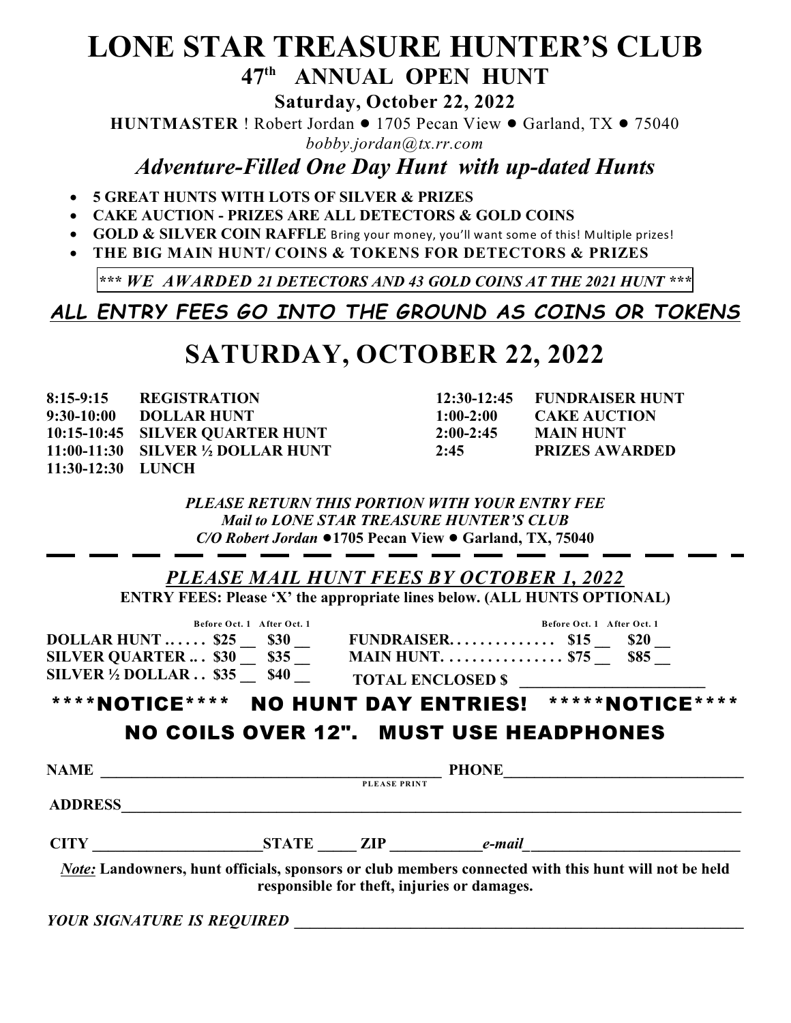## **LONE STAR TREASURE HUNTER'S CLUB** 47<sup>th</sup> ANNUAL OPEN HUNT

**Saturday, October 22, 2022**

**HUNTMASTER** ! Robert Jordan  $\bullet$  1705 Pecan View  $\bullet$  Garland, TX  $\bullet$  75040 *bobby.jordan@tx.rr.com*

*Adventure-Filled One Day Hunt with up-dated Hunts*

- · **5 GREAT HUNTS WITH LOTS OF SILVER & PRIZES**
- · **CAKE AUCTION PRIZES ARE ALL DETECTORS & GOLD COINS**
- · **GOLD & SILVER COIN RAFFLE** Bring your money, you'll want some of this! Multiple prizes!
- · **THE BIG MAIN HUNT/ COINS & TOKENS FOR DETECTORS & PRIZES**

**\*\*\*** *WE AWARDED 21 DETECTORS AND 43 GOLD COINS AT THE 2021 HUNT \*\*\**

*ALL ENTRY FEES GO INTO THE GROUND AS COINS OR TOKENS*

## **SATURDAY, OCTOBER 22, 2022**

| $8:15-9:15$       | <b>REGISTRATION</b>                            |             | 12:30-12:45 FUNDRAISER HUNT |
|-------------------|------------------------------------------------|-------------|-----------------------------|
| $9:30-10:00$      | <b>DOLLAR HUNT</b>                             | $1:00-2:00$ | <b>CAKE AUCTION</b>         |
|                   | 10:15-10:45 SILVER QUARTER HUNT                | $2:00-2:45$ | <b>MAIN HUNT</b>            |
|                   | $11:00-11:30$ SILVER $\frac{1}{2}$ DOLLAR HUNT | 2:45        | <b>PRIZES AWARDED</b>       |
| 11:30-12:30 LUNCH |                                                |             |                             |

| <b>FUNDRAISER HUNT</b> |
|------------------------|
| <b>CAKE AUCTION</b>    |
| MAIN HUNT              |
| <b>PRIZES AWARDED</b>  |
|                        |

*PLEASE RETURN THIS PORTION WITH YOUR ENTRY FEE Mail to LONE STAR TREASURE HUNTER'S CLUB C/O Robert Jordan* ●1705 Pecan View ● Garland, TX, 75040

|                               | Before Oct. 1 After Oct. 1                                                                                                                                                      |              | Before Oct. 1 After Oct. 1 |  |
|-------------------------------|---------------------------------------------------------------------------------------------------------------------------------------------------------------------------------|--------------|----------------------------|--|
|                               | $\begin{array}{ccccccccc}\n\text{DOLLAR HUNT } & 525 & 530 & \text{FUNDRAISER } & 515 & 520 \\ \text{SILVER QUARTER } & 530 & 535 & \text{MAIN HUNT } & 575 & 585\n\end{array}$ |              |                            |  |
|                               |                                                                                                                                                                                 |              |                            |  |
|                               | SILVER $\overline{Y_2}$ DOLLAR \$35 $\overline{\phantom{0}}$ \$40 $\overline{\phantom{0}}$ TOTAL ENCLOSED \$                                                                    |              |                            |  |
|                               | ****NOTICE**** NO HUNT DAY ENTRIES! *****NOTICE****                                                                                                                             |              |                            |  |
|                               | <b>NO COILS OVER 12". MUST USE HEADPHONES</b><br>PHONE                                                                                                                          |              |                            |  |
| <b>NAME</b><br><b>ADDRESS</b> |                                                                                                                                                                                 | PLEASE PRINT |                            |  |

*YOUR SIGNATURE IS REQUIRED* **\_\_\_\_\_\_\_\_\_\_\_\_\_\_\_\_\_\_\_\_\_\_\_\_\_\_\_\_\_\_\_\_\_\_\_\_\_\_\_\_\_\_\_\_\_\_\_\_\_\_\_\_\_\_\_\_\_\_**